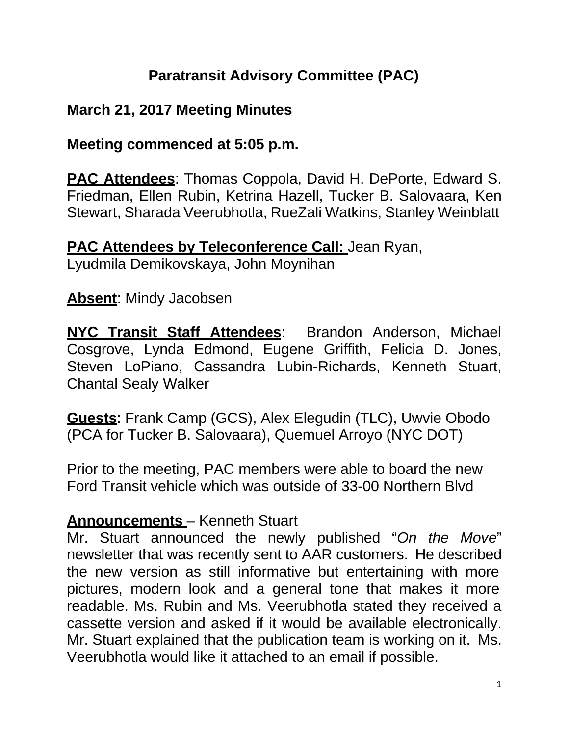# **Paratransit Advisory Committee (PAC)**

# **March 21, 2017 Meeting Minutes**

## **Meeting commenced at 5:05 p.m.**

**PAC Attendees**: Thomas Coppola, David H. DePorte, Edward S. Friedman, Ellen Rubin, Ketrina Hazell, Tucker B. Salovaara, Ken Stewart, Sharada Veerubhotla, RueZali Watkins, Stanley Weinblatt

**PAC Attendees by Teleconference Call: Jean Ryan,** 

Lyudmila Demikovskaya, John Moynihan

## **Absent**: Mindy Jacobsen

**NYC Transit Staff Attendees**: Brandon Anderson, Michael Cosgrove, Lynda Edmond, Eugene Griffith, Felicia D. Jones, Steven LoPiano, Cassandra Lubin-Richards, Kenneth Stuart, Chantal Sealy Walker

**Guests**: Frank Camp (GCS), Alex Elegudin (TLC), Uwvie Obodo (PCA for Tucker B. Salovaara), Quemuel Arroyo (NYC DOT)

Prior to the meeting, PAC members were able to board the new Ford Transit vehicle which was outside of 33-00 Northern Blvd

## **Announcements** – Kenneth Stuart

Mr. Stuart announced the newly published "*On the Move*" newsletter that was recently sent to AAR customers. He described the new version as still informative but entertaining with more pictures, modern look and a general tone that makes it more readable. Ms. Rubin and Ms. Veerubhotla stated they received a cassette version and asked if it would be available electronically. Mr. Stuart explained that the publication team is working on it. Ms. Veerubhotla would like it attached to an email if possible.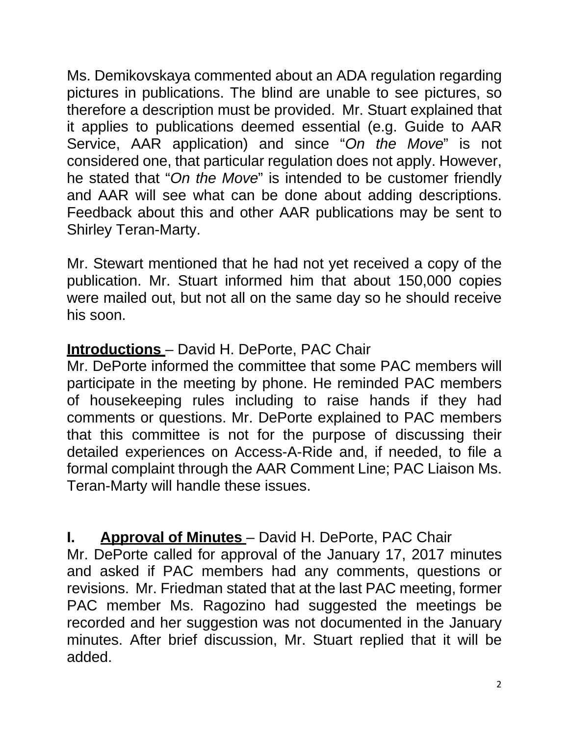Ms. Demikovskaya commented about an ADA regulation regarding pictures in publications. The blind are unable to see pictures, so therefore a description must be provided. Mr. Stuart explained that it applies to publications deemed essential (e.g. Guide to AAR Service, AAR application) and since "*On the Move*" is not considered one, that particular regulation does not apply. However, he stated that "*On the Move*" is intended to be customer friendly and AAR will see what can be done about adding descriptions. Feedback about this and other AAR publications may be sent to Shirley Teran-Marty.

Mr. Stewart mentioned that he had not yet received a copy of the publication. Mr. Stuart informed him that about 150,000 copies were mailed out, but not all on the same day so he should receive his soon.

# **Introductions** – David H. DePorte, PAC Chair

Mr. DePorte informed the committee that some PAC members will participate in the meeting by phone. He reminded PAC members of housekeeping rules including to raise hands if they had comments or questions. Mr. DePorte explained to PAC members that this committee is not for the purpose of discussing their detailed experiences on Access-A-Ride and, if needed, to file a formal complaint through the AAR Comment Line; PAC Liaison Ms. Teran-Marty will handle these issues.

**I.** Approval of Minutes – David H. DePorte, PAC Chair Mr. DePorte called for approval of the January 17, 2017 minutes and asked if PAC members had any comments, questions or revisions. Mr. Friedman stated that at the last PAC meeting, former PAC member Ms. Ragozino had suggested the meetings be

# recorded and her suggestion was not documented in the January minutes. After brief discussion, Mr. Stuart replied that it will be added.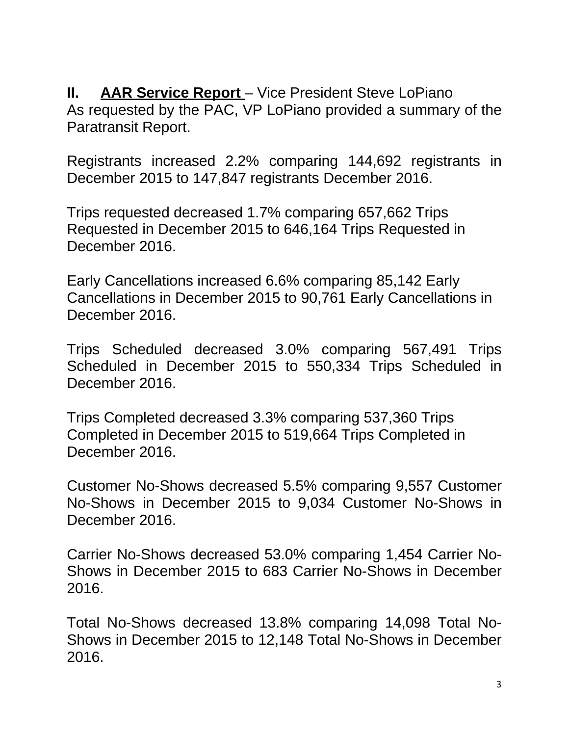**II.** AAR Service Report – Vice President Steve LoPiano As requested by the PAC, VP LoPiano provided a summary of the Paratransit Report.

Registrants increased 2.2% comparing 144,692 registrants in December 2015 to 147,847 registrants December 2016.

Trips requested decreased 1.7% comparing 657,662 Trips Requested in December 2015 to 646,164 Trips Requested in December 2016.

Early Cancellations increased 6.6% comparing 85,142 Early Cancellations in December 2015 to 90,761 Early Cancellations in December 2016.

Trips Scheduled decreased 3.0% comparing 567,491 Trips Scheduled in December 2015 to 550,334 Trips Scheduled in December 2016.

Trips Completed decreased 3.3% comparing 537,360 Trips Completed in December 2015 to 519,664 Trips Completed in December 2016.

Customer No-Shows decreased 5.5% comparing 9,557 Customer No-Shows in December 2015 to 9,034 Customer No-Shows in December 2016.

Carrier No-Shows decreased 53.0% comparing 1,454 Carrier No-Shows in December 2015 to 683 Carrier No-Shows in December 2016.

Total No-Shows decreased 13.8% comparing 14,098 Total No-Shows in December 2015 to 12,148 Total No-Shows in December 2016.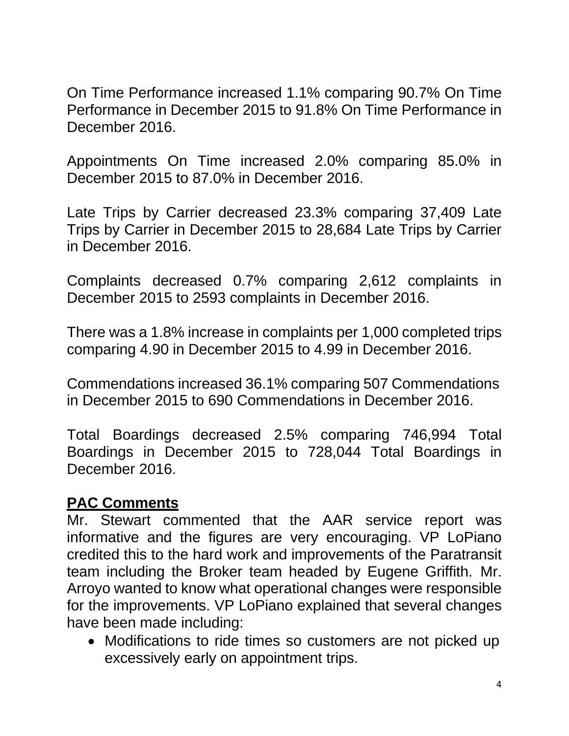On Time Performance increased 1.1% comparing 90.7% On Time Performance in December 2015 to 91.8% On Time Performance in December 2016.

Appointments On Time increased 2.0% comparing 85.0% in December 2015 to 87.0% in December 2016.

Late Trips by Carrier decreased 23.3% comparing 37,409 Late Trips by Carrier in December 2015 to 28,684 Late Trips by Carrier in December 2016.

Complaints decreased 0.7% comparing 2,612 complaints in December 2015 to 2593 complaints in December 2016.

There was a 1.8% increase in complaints per 1,000 completed trips comparing 4.90 in December 2015 to 4.99 in December 2016.

Commendations increased 36.1% comparing 507 Commendations in December 2015 to 690 Commendations in December 2016.

Total Boardings decreased 2.5% comparing 746,994 Total Boardings in December 2015 to 728,044 Total Boardings in December 2016.

#### **PAC Comments**

Mr. Stewart commented that the AAR service report was informative and the figures are very encouraging. VP LoPiano credited this to the hard work and improvements of the Paratransit team including the Broker team headed by Eugene Griffith. Mr. Arroyo wanted to know what operational changes were responsible for the improvements. VP LoPiano explained that several changes have been made including:

• Modifications to ride times so customers are not picked up excessively early on appointment trips.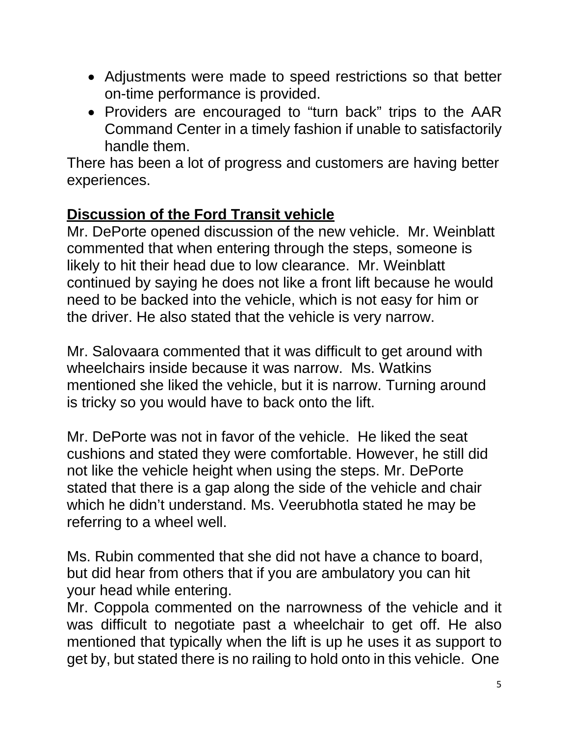- Adjustments were made to speed restrictions so that better on-time performance is provided.
- Providers are encouraged to "turn back" trips to the AAR Command Center in a timely fashion if unable to satisfactorily handle them.

There has been a lot of progress and customers are having better experiences.

# **Discussion of the Ford Transit vehicle**

Mr. DePorte opened discussion of the new vehicle. Mr. Weinblatt commented that when entering through the steps, someone is likely to hit their head due to low clearance. Mr. Weinblatt continued by saying he does not like a front lift because he would need to be backed into the vehicle, which is not easy for him or the driver. He also stated that the vehicle is very narrow.

Mr. Salovaara commented that it was difficult to get around with wheelchairs inside because it was narrow. Ms. Watkins mentioned she liked the vehicle, but it is narrow. Turning around is tricky so you would have to back onto the lift.

Mr. DePorte was not in favor of the vehicle. He liked the seat cushions and stated they were comfortable. However, he still did not like the vehicle height when using the steps. Mr. DePorte stated that there is a gap along the side of the vehicle and chair which he didn't understand. Ms. Veerubhotla stated he may be referring to a wheel well.

Ms. Rubin commented that she did not have a chance to board, but did hear from others that if you are ambulatory you can hit your head while entering.

Mr. Coppola commented on the narrowness of the vehicle and it was difficult to negotiate past a wheelchair to get off. He also mentioned that typically when the lift is up he uses it as support to get by, but stated there is no railing to hold onto in this vehicle. One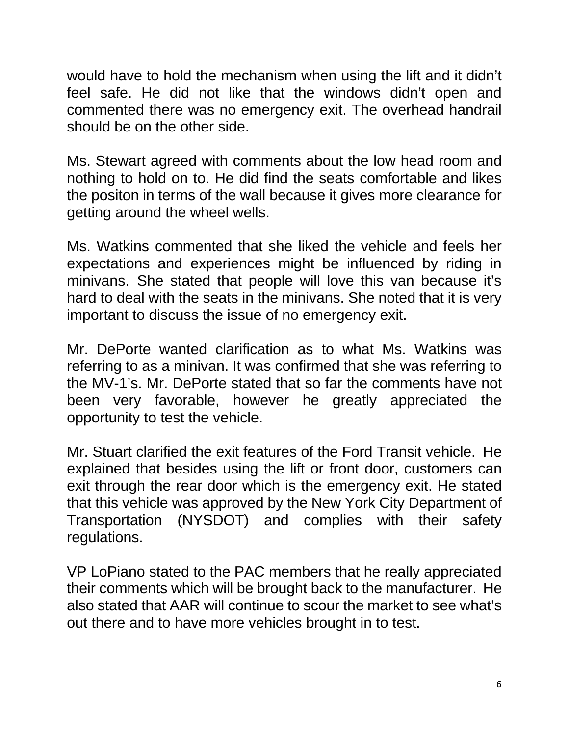would have to hold the mechanism when using the lift and it didn't feel safe. He did not like that the windows didn't open and commented there was no emergency exit. The overhead handrail should be on the other side.

Ms. Stewart agreed with comments about the low head room and nothing to hold on to. He did find the seats comfortable and likes the positon in terms of the wall because it gives more clearance for getting around the wheel wells.

Ms. Watkins commented that she liked the vehicle and feels her expectations and experiences might be influenced by riding in minivans. She stated that people will love this van because it's hard to deal with the seats in the minivans. She noted that it is very important to discuss the issue of no emergency exit.

Mr. DePorte wanted clarification as to what Ms. Watkins was referring to as a minivan. It was confirmed that she was referring to the MV-1's. Mr. DePorte stated that so far the comments have not been very favorable, however he greatly appreciated the opportunity to test the vehicle.

Mr. Stuart clarified the exit features of the Ford Transit vehicle. He explained that besides using the lift or front door, customers can exit through the rear door which is the emergency exit. He stated that this vehicle was approved by the New York City Department of Transportation (NYSDOT) and complies with their safety regulations.

VP LoPiano stated to the PAC members that he really appreciated their comments which will be brought back to the manufacturer. He also stated that AAR will continue to scour the market to see what's out there and to have more vehicles brought in to test.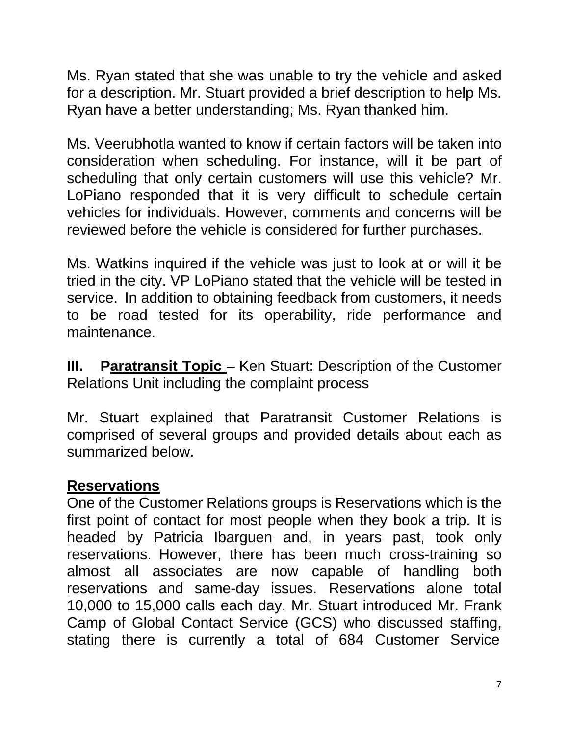Ms. Ryan stated that she was unable to try the vehicle and asked for a description. Mr. Stuart provided a brief description to help Ms. Ryan have a better understanding; Ms. Ryan thanked him.

Ms. Veerubhotla wanted to know if certain factors will be taken into consideration when scheduling. For instance, will it be part of scheduling that only certain customers will use this vehicle? Mr. LoPiano responded that it is very difficult to schedule certain vehicles for individuals. However, comments and concerns will be reviewed before the vehicle is considered for further purchases.

Ms. Watkins inquired if the vehicle was just to look at or will it be tried in the city. VP LoPiano stated that the vehicle will be tested in service. In addition to obtaining feedback from customers, it needs to be road tested for its operability, ride performance and maintenance.

**III.** Paratransit Topic – Ken Stuart: Description of the Customer Relations Unit including the complaint process

Mr. Stuart explained that Paratransit Customer Relations is comprised of several groups and provided details about each as summarized below.

## **Reservations**

One of the Customer Relations groups is Reservations which is the first point of contact for most people when they book a trip. It is headed by Patricia Ibarguen and, in years past, took only reservations. However, there has been much cross-training so almost all associates are now capable of handling both reservations and same-day issues. Reservations alone total 10,000 to 15,000 calls each day. Mr. Stuart introduced Mr. Frank Camp of Global Contact Service (GCS) who discussed staffing, stating there is currently a total of 684 Customer Service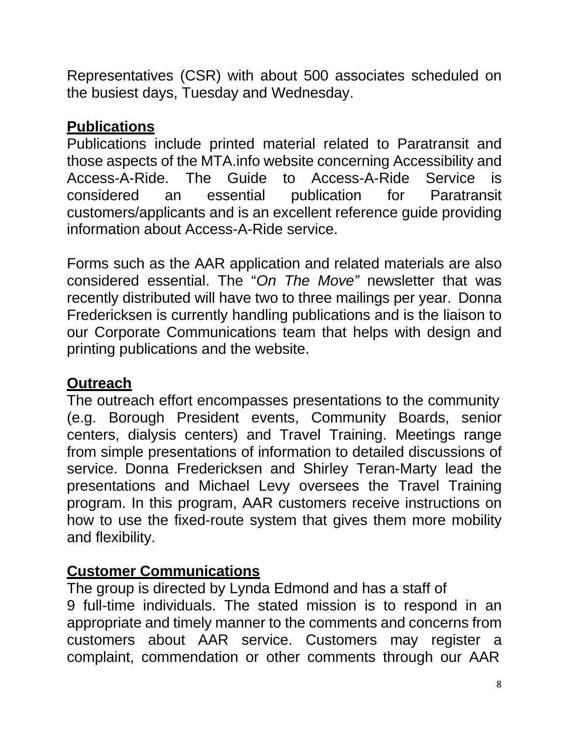Representatives (CSR) with about 500 associates scheduled on the busiest days, Tuesday and Wednesday.

# **Publications**

Publications include printed material related to Paratransit and those aspects of the MTA.info website concerning Accessibility and Access-A-Ride. The Guide to Access-A-Ride Service is considered an essential publication for Paratransit customers/applicants and is an excellent reference guide providing information about Access-A-Ride service.

Forms such as the AAR application and related materials are also considered essential. The "*On The Move"* newsletter that was recently distributed will have two to three mailings per year. Donna Fredericksen is currently handling publications and is the liaison to our Corporate Communications team that helps with design and printing publications and the website.

# **Outreach**

The outreach effort encompasses presentations to the community (e.g. Borough President events, Community Boards, senior centers, dialysis centers) and Travel Training. Meetings range from simple presentations of information to detailed discussions of service. Donna Fredericksen and Shirley Teran-Marty lead the presentations and Michael Levy oversees the Travel Training program. In this program, AAR customers receive instructions on how to use the fixed-route system that gives them more mobility and flexibility.

# **Customer Communications**

The group is directed by Lynda Edmond and has a staff of 9 full-time individuals. The stated mission is to respond in an appropriate and timely manner to the comments and concerns from customers about AAR service. Customers may register a complaint, commendation or other comments through our AAR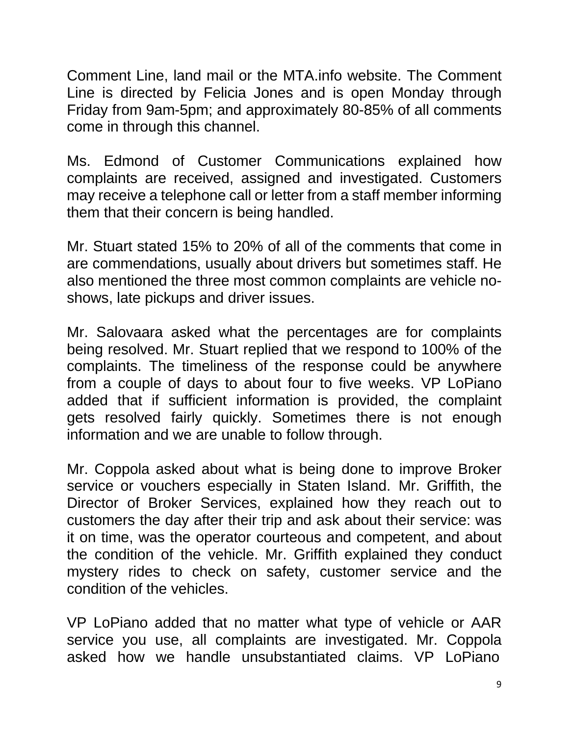Comment Line, land mail or the MTA.info website. The Comment Line is directed by Felicia Jones and is open Monday through Friday from 9am-5pm; and approximately 80-85% of all comments come in through this channel.

Ms. Edmond of Customer Communications explained how complaints are received, assigned and investigated. Customers may receive a telephone call or letter from a staff member informing them that their concern is being handled.

Mr. Stuart stated 15% to 20% of all of the comments that come in are commendations, usually about drivers but sometimes staff. He also mentioned the three most common complaints are vehicle noshows, late pickups and driver issues.

Mr. Salovaara asked what the percentages are for complaints being resolved. Mr. Stuart replied that we respond to 100% of the complaints. The timeliness of the response could be anywhere from a couple of days to about four to five weeks. VP LoPiano added that if sufficient information is provided, the complaint gets resolved fairly quickly. Sometimes there is not enough information and we are unable to follow through.

Mr. Coppola asked about what is being done to improve Broker service or vouchers especially in Staten Island. Mr. Griffith, the Director of Broker Services, explained how they reach out to customers the day after their trip and ask about their service: was it on time, was the operator courteous and competent, and about the condition of the vehicle. Mr. Griffith explained they conduct mystery rides to check on safety, customer service and the condition of the vehicles.

VP LoPiano added that no matter what type of vehicle or AAR service you use, all complaints are investigated. Mr. Coppola asked how we handle unsubstantiated claims. VP LoPiano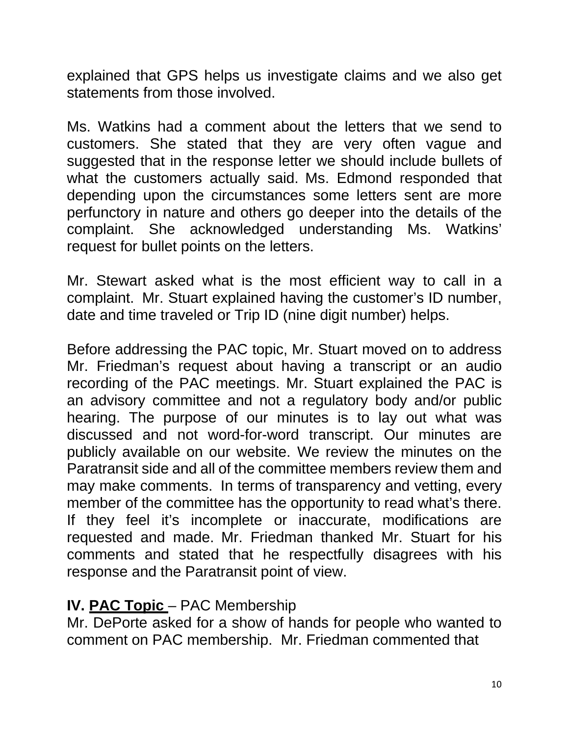explained that GPS helps us investigate claims and we also get statements from those involved.

Ms. Watkins had a comment about the letters that we send to customers. She stated that they are very often vague and suggested that in the response letter we should include bullets of what the customers actually said. Ms. Edmond responded that depending upon the circumstances some letters sent are more perfunctory in nature and others go deeper into the details of the complaint. She acknowledged understanding Ms. Watkins' request for bullet points on the letters.

Mr. Stewart asked what is the most efficient way to call in a complaint. Mr. Stuart explained having the customer's ID number, date and time traveled or Trip ID (nine digit number) helps.

Before addressing the PAC topic, Mr. Stuart moved on to address Mr. Friedman's request about having a transcript or an audio recording of the PAC meetings. Mr. Stuart explained the PAC is an advisory committee and not a regulatory body and/or public hearing. The purpose of our minutes is to lay out what was discussed and not word-for-word transcript. Our minutes are publicly available on our website. We review the minutes on the Paratransit side and all of the committee members review them and may make comments. In terms of transparency and vetting, every member of the committee has the opportunity to read what's there. If they feel it's incomplete or inaccurate, modifications are requested and made. Mr. Friedman thanked Mr. Stuart for his comments and stated that he respectfully disagrees with his response and the Paratransit point of view.

#### **IV. PAC Topic – PAC Membership**

Mr. DePorte asked for a show of hands for people who wanted to comment on PAC membership. Mr. Friedman commented that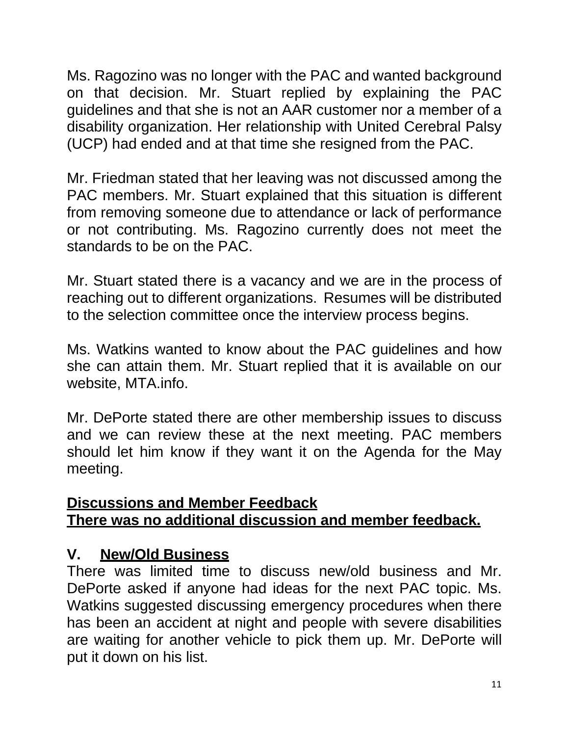Ms. Ragozino was no longer with the PAC and wanted background on that decision. Mr. Stuart replied by explaining the PAC guidelines and that she is not an AAR customer nor a member of a disability organization. Her relationship with United Cerebral Palsy (UCP) had ended and at that time she resigned from the PAC.

Mr. Friedman stated that her leaving was not discussed among the PAC members. Mr. Stuart explained that this situation is different from removing someone due to attendance or lack of performance or not contributing. Ms. Ragozino currently does not meet the standards to be on the PAC.

Mr. Stuart stated there is a vacancy and we are in the process of reaching out to different organizations. Resumes will be distributed to the selection committee once the interview process begins.

Ms. Watkins wanted to know about the PAC guidelines and how she can attain them. Mr. Stuart replied that it is available on our website, MTA.info.

Mr. DePorte stated there are other membership issues to discuss and we can review these at the next meeting. PAC members should let him know if they want it on the Agenda for the May meeting.

#### **Discussions and Member Feedback There was no additional discussion and member feedback.**

# **V. New/Old Business**

There was limited time to discuss new/old business and Mr. DePorte asked if anyone had ideas for the next PAC topic. Ms. Watkins suggested discussing emergency procedures when there has been an accident at night and people with severe disabilities are waiting for another vehicle to pick them up. Mr. DePorte will put it down on his list.